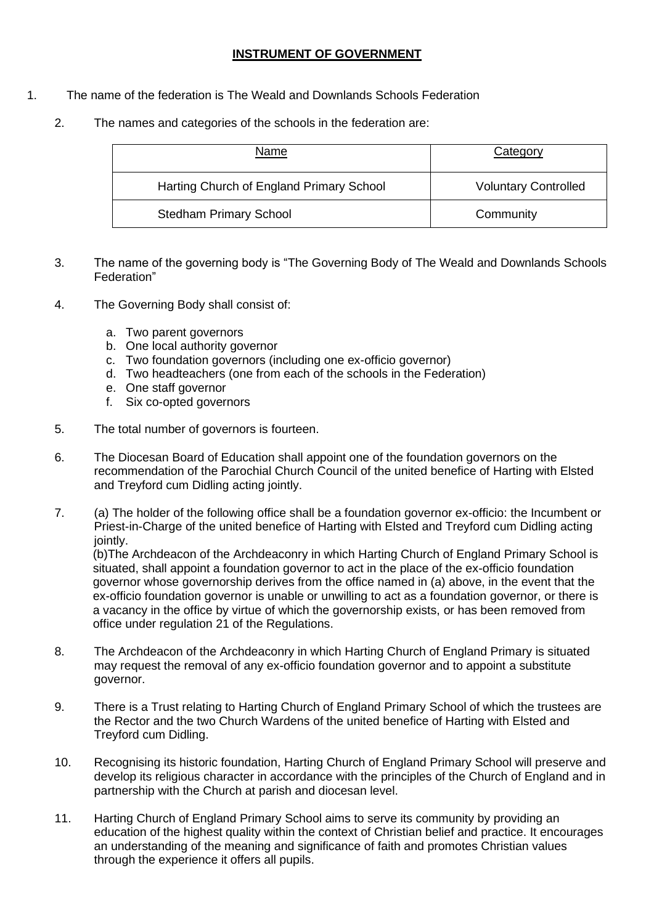## **INSTRUMENT OF GOVERNMENT**

- 1. The name of the federation is The Weald and Downlands Schools Federation
	- 2. The names and categories of the schools in the federation are:

| Name                                     | Category                    |
|------------------------------------------|-----------------------------|
| Harting Church of England Primary School | <b>Voluntary Controlled</b> |
| <b>Stedham Primary School</b>            | Community                   |

- 3. The name of the governing body is "The Governing Body of The Weald and Downlands Schools Federation"
- 4. The Governing Body shall consist of:
	- a. Two parent governors
	- b. One local authority governor
	- c. Two foundation governors (including one ex-officio governor)
	- d. Two headteachers (one from each of the schools in the Federation)
	- e. One staff governor
	- f. Six co-opted governors
- 5. The total number of governors is fourteen.
- 6. The Diocesan Board of Education shall appoint one of the foundation governors on the recommendation of the Parochial Church Council of the united benefice of Harting with Elsted and Treyford cum Didling acting jointly.
- 7. (a) The holder of the following office shall be a foundation governor ex-officio: the Incumbent or Priest-in-Charge of the united benefice of Harting with Elsted and Treyford cum Didling acting jointly.

(b)The Archdeacon of the Archdeaconry in which Harting Church of England Primary School is situated, shall appoint a foundation governor to act in the place of the ex-officio foundation governor whose governorship derives from the office named in (a) above, in the event that the ex-officio foundation governor is unable or unwilling to act as a foundation governor, or there is a vacancy in the office by virtue of which the governorship exists, or has been removed from office under regulation 21 of the Regulations.

- 8. The Archdeacon of the Archdeaconry in which Harting Church of England Primary is situated may request the removal of any ex-officio foundation governor and to appoint a substitute governor.
- 9. There is a Trust relating to Harting Church of England Primary School of which the trustees are the Rector and the two Church Wardens of the united benefice of Harting with Elsted and Treyford cum Didling.
- 10. Recognising its historic foundation, Harting Church of England Primary School will preserve and develop its religious character in accordance with the principles of the Church of England and in partnership with the Church at parish and diocesan level.
- 11. Harting Church of England Primary School aims to serve its community by providing an education of the highest quality within the context of Christian belief and practice. It encourages an understanding of the meaning and significance of faith and promotes Christian values through the experience it offers all pupils.